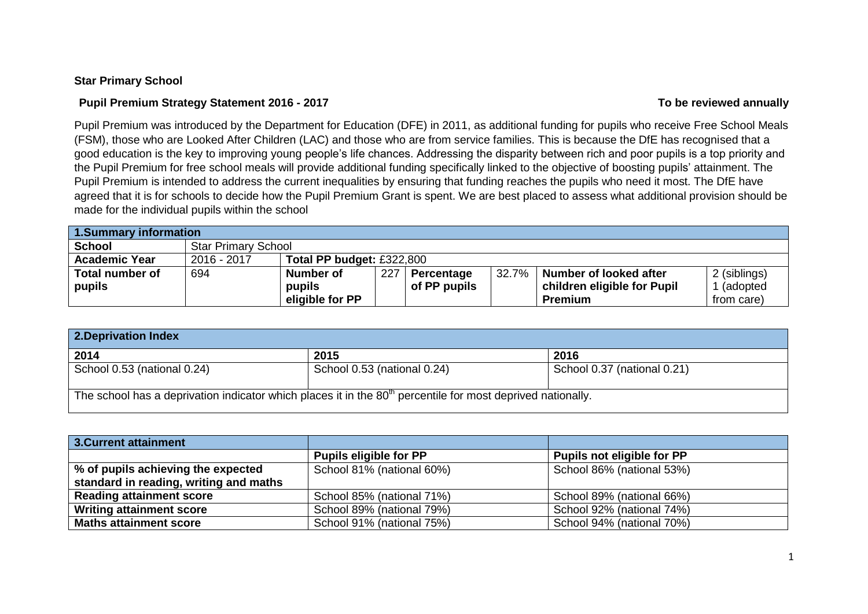### **Star Primary School**

### **Pupil Premium Strategy Statement 2016 - 2017 To be reviewed annually**

Pupil Premium was introduced by the Department for Education (DFE) in 2011, as additional funding for pupils who receive Free School Meals (FSM), those who are Looked After Children (LAC) and those who are from service families. This is because the DfE has recognised that a good education is the key to improving young people's life chances. Addressing the disparity between rich and poor pupils is a top priority and the Pupil Premium for free school meals will provide additional funding specifically linked to the objective of boosting pupils' attainment. The Pupil Premium is intended to address the current inequalities by ensuring that funding reaches the pupils who need it most. The DfE have agreed that it is for schools to decide how the Pupil Premium Grant is spent. We are best placed to assess what additional provision should be made for the individual pupils within the school

| 1.Summary information  |                            |                           |     |              |       |                             |              |
|------------------------|----------------------------|---------------------------|-----|--------------|-------|-----------------------------|--------------|
| <b>School</b>          | <b>Star Primary School</b> |                           |     |              |       |                             |              |
| <b>Academic Year</b>   | 2016 - 2017                | Total PP budget: £322,800 |     |              |       |                             |              |
| <b>Total number of</b> | 694                        | Number of                 | 227 | Percentage   | 32.7% | Number of looked after      | 2 (siblings) |
| pupils                 |                            | pupils                    |     | of PP pupils |       | children eligible for Pupil | (adopted     |
|                        |                            | eligible for PP           |     |              |       | Premium                     | from care)   |

| 2. Deprivation Index        |                                                                                                               |                             |
|-----------------------------|---------------------------------------------------------------------------------------------------------------|-----------------------------|
| 2014                        | 2015                                                                                                          | 2016                        |
| School 0.53 (national 0.24) | School 0.53 (national 0.24)                                                                                   | School 0.37 (national 0.21) |
|                             | The school has a deprivation indicator which places it in the $80th$ percentile for most deprived nationally. |                             |

| 3. Current attainment                  |                               |                            |
|----------------------------------------|-------------------------------|----------------------------|
|                                        | <b>Pupils eligible for PP</b> | Pupils not eligible for PP |
| % of pupils achieving the expected     | School 81% (national 60%)     | School 86% (national 53%)  |
| standard in reading, writing and maths |                               |                            |
| <b>Reading attainment score</b>        | School 85% (national 71%)     | School 89% (national 66%)  |
| <b>Writing attainment score</b>        | School 89% (national 79%)     | School 92% (national 74%)  |
| <b>Maths attainment score</b>          | School 91% (national 75%)     | School 94% (national 70%)  |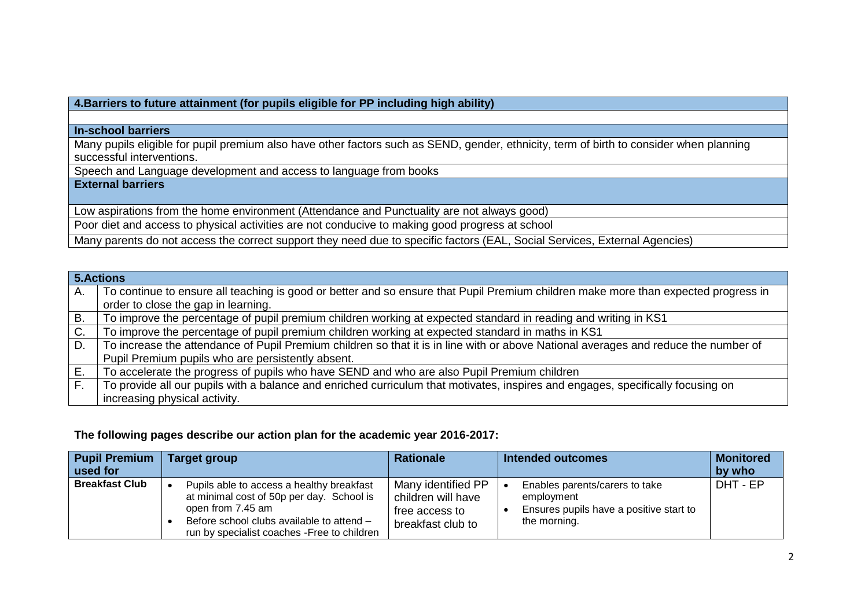# **4.Barriers to future attainment (for pupils eligible for PP including high ability)**

#### **In-school barriers**

Many pupils eligible for pupil premium also have other factors such as SEND, gender, ethnicity, term of birth to consider when planning successful interventions.

Speech and Language development and access to language from books

# **External barriers**

Low aspirations from the home environment (Attendance and Punctuality are not always good)

Poor diet and access to physical activities are not conducive to making good progress at school

Many parents do not access the correct support they need due to specific factors (EAL, Social Services, External Agencies)

|              | 5. Actions                                                                                                                          |
|--------------|-------------------------------------------------------------------------------------------------------------------------------------|
| Α.           | To continue to ensure all teaching is good or better and so ensure that Pupil Premium children make more than expected progress in  |
|              | order to close the gap in learning.                                                                                                 |
| <b>B.</b>    | To improve the percentage of pupil premium children working at expected standard in reading and writing in KS1                      |
| C.           | To improve the percentage of pupil premium children working at expected standard in maths in KS1                                    |
| D.           | To increase the attendance of Pupil Premium children so that it is in line with or above National averages and reduce the number of |
|              | Pupil Premium pupils who are persistently absent.                                                                                   |
| Е.           | To accelerate the progress of pupils who have SEND and who are also Pupil Premium children                                          |
| $F_{\rm{L}}$ | To provide all our pupils with a balance and enriched curriculum that motivates, inspires and engages, specifically focusing on     |
|              | increasing physical activity.                                                                                                       |

#### **The following pages describe our action plan for the academic year 2016-2017:**

| <b>Pupil Premium</b><br>used for | Target group                                                                                                                                                                                             | <b>Rationale</b>                                                                | <b>Intended outcomes</b>                                                                                | <b>Monitored</b><br>by who |
|----------------------------------|----------------------------------------------------------------------------------------------------------------------------------------------------------------------------------------------------------|---------------------------------------------------------------------------------|---------------------------------------------------------------------------------------------------------|----------------------------|
| <b>Breakfast Club</b>            | Pupils able to access a healthy breakfast<br>at minimal cost of 50p per day. School is<br>open from 7.45 am<br>Before school clubs available to attend -<br>run by specialist coaches - Free to children | Many identified PP<br>children will have<br>free access to<br>breakfast club to | Enables parents/carers to take<br>employment<br>Ensures pupils have a positive start to<br>the morning. | DHT - EP                   |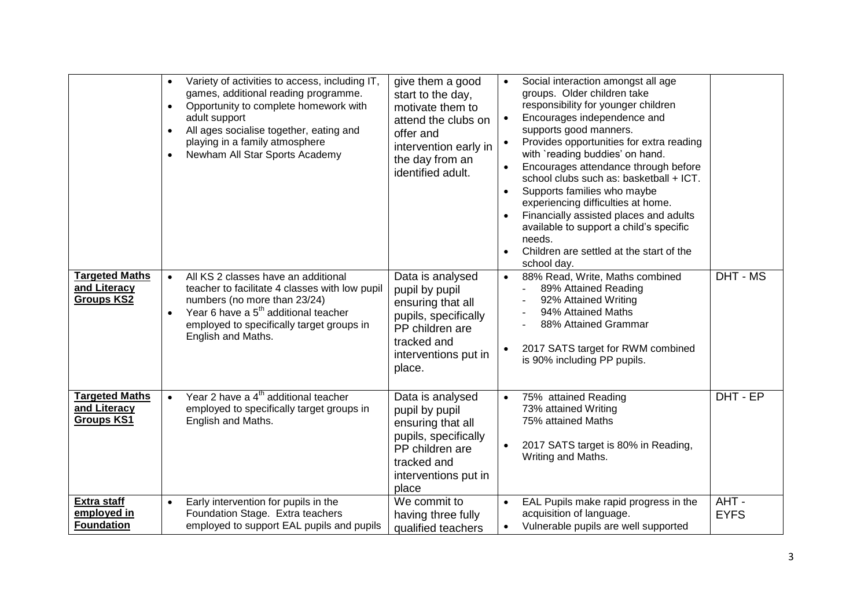|                                                            | $\bullet$<br>$\bullet$<br>$\bullet$<br>$\bullet$ | Variety of activities to access, including IT,<br>games, additional reading programme.<br>Opportunity to complete homework with<br>adult support<br>All ages socialise together, eating and<br>playing in a family atmosphere<br>Newham All Star Sports Academy | give them a good<br>start to the day,<br>motivate them to<br>attend the clubs on<br>offer and<br>intervention early in<br>the day from an<br>identified adult. |                        | Social interaction amongst all age<br>groups. Older children take<br>responsibility for younger children<br>Encourages independence and<br>supports good manners.<br>Provides opportunities for extra reading<br>with `reading buddies' on hand.<br>Encourages attendance through before<br>school clubs such as: basketball + ICT.<br>Supports families who maybe<br>experiencing difficulties at home.<br>Financially assisted places and adults<br>available to support a child's specific<br>needs.<br>Children are settled at the start of the<br>school day. |                     |
|------------------------------------------------------------|--------------------------------------------------|-----------------------------------------------------------------------------------------------------------------------------------------------------------------------------------------------------------------------------------------------------------------|----------------------------------------------------------------------------------------------------------------------------------------------------------------|------------------------|--------------------------------------------------------------------------------------------------------------------------------------------------------------------------------------------------------------------------------------------------------------------------------------------------------------------------------------------------------------------------------------------------------------------------------------------------------------------------------------------------------------------------------------------------------------------|---------------------|
| <b>Targeted Maths</b><br>and Literacy<br><b>Groups KS2</b> |                                                  | All KS 2 classes have an additional<br>teacher to facilitate 4 classes with low pupil<br>numbers (no more than 23/24)<br>Year 6 have a 5 <sup>th</sup> additional teacher<br>employed to specifically target groups in<br>English and Maths.                    | Data is analysed<br>pupil by pupil<br>ensuring that all<br>pupils, specifically<br>PP children are<br>tracked and<br>interventions put in<br>place.            |                        | 88% Read, Write, Maths combined<br>89% Attained Reading<br>92% Attained Writing<br>94% Attained Maths<br>88% Attained Grammar<br>2017 SATS target for RWM combined<br>is 90% including PP pupils.                                                                                                                                                                                                                                                                                                                                                                  | DHT - MS            |
| <b>Targeted Maths</b><br>and Literacy<br><b>Groups KS1</b> | $\bullet$                                        | Year 2 have a 4 <sup>th</sup> additional teacher<br>employed to specifically target groups in<br>English and Maths.                                                                                                                                             | Data is analysed<br>pupil by pupil<br>ensuring that all<br>pupils, specifically<br>PP children are<br>tracked and<br>interventions put in<br>place             |                        | 75% attained Reading<br>73% attained Writing<br>75% attained Maths<br>2017 SATS target is 80% in Reading,<br>Writing and Maths.                                                                                                                                                                                                                                                                                                                                                                                                                                    | DHT - EP            |
| <b>Extra staff</b><br>employed in<br><b>Foundation</b>     | $\bullet$                                        | Early intervention for pupils in the<br>Foundation Stage. Extra teachers<br>employed to support EAL pupils and pupils                                                                                                                                           | We commit to<br>having three fully<br>qualified teachers                                                                                                       | $\bullet$<br>$\bullet$ | EAL Pupils make rapid progress in the<br>acquisition of language.<br>Vulnerable pupils are well supported                                                                                                                                                                                                                                                                                                                                                                                                                                                          | AHT-<br><b>EYFS</b> |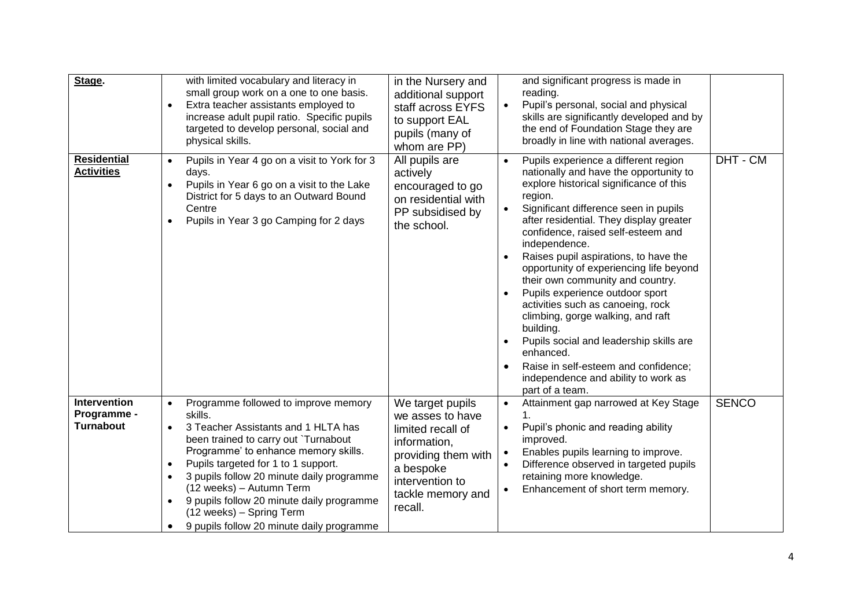| Stage.                                                 | with limited vocabulary and literacy in<br>small group work on a one to one basis.<br>Extra teacher assistants employed to<br>$\bullet$<br>increase adult pupil ratio. Specific pupils<br>targeted to develop personal, social and<br>physical skills.                                                                                                                                                                                                                        | in the Nursery and<br>additional support<br>staff across EYFS<br>to support EAL<br>pupils (many of<br>whom are PP)                                               | and significant progress is made in<br>reading.<br>Pupil's personal, social and physical<br>$\bullet$<br>skills are significantly developed and by<br>the end of Foundation Stage they are<br>broadly in line with national averages.                                                                                                                                                                                                                                                                                                                                                                                                                                                                                             |
|--------------------------------------------------------|-------------------------------------------------------------------------------------------------------------------------------------------------------------------------------------------------------------------------------------------------------------------------------------------------------------------------------------------------------------------------------------------------------------------------------------------------------------------------------|------------------------------------------------------------------------------------------------------------------------------------------------------------------|-----------------------------------------------------------------------------------------------------------------------------------------------------------------------------------------------------------------------------------------------------------------------------------------------------------------------------------------------------------------------------------------------------------------------------------------------------------------------------------------------------------------------------------------------------------------------------------------------------------------------------------------------------------------------------------------------------------------------------------|
| <b>Residential</b><br><b>Activities</b>                | Pupils in Year 4 go on a visit to York for 3<br>$\bullet$<br>days.<br>Pupils in Year 6 go on a visit to the Lake<br>District for 5 days to an Outward Bound<br>Centre<br>Pupils in Year 3 go Camping for 2 days<br>$\bullet$                                                                                                                                                                                                                                                  | All pupils are<br>actively<br>encouraged to go<br>on residential with<br>PP subsidised by<br>the school.                                                         | DHT - CM<br>Pupils experience a different region<br>$\bullet$<br>nationally and have the opportunity to<br>explore historical significance of this<br>region.<br>Significant difference seen in pupils<br>$\bullet$<br>after residential. They display greater<br>confidence, raised self-esteem and<br>independence.<br>Raises pupil aspirations, to have the<br>opportunity of experiencing life beyond<br>their own community and country.<br>Pupils experience outdoor sport<br>activities such as canoeing, rock<br>climbing, gorge walking, and raft<br>building.<br>Pupils social and leadership skills are<br>enhanced.<br>Raise in self-esteem and confidence;<br>independence and ability to work as<br>part of a team. |
| <b>Intervention</b><br>Programme -<br><b>Turnabout</b> | Programme followed to improve memory<br>$\bullet$<br>skills.<br>3 Teacher Assistants and 1 HLTA has<br>$\bullet$<br>been trained to carry out `Turnabout<br>Programme' to enhance memory skills.<br>Pupils targeted for 1 to 1 support.<br>$\bullet$<br>3 pupils follow 20 minute daily programme<br>$\bullet$<br>(12 weeks) - Autumn Term<br>9 pupils follow 20 minute daily programme<br>$\bullet$<br>(12 weeks) - Spring Term<br>9 pupils follow 20 minute daily programme | We target pupils<br>we asses to have<br>limited recall of<br>information,<br>providing them with<br>a bespoke<br>intervention to<br>tackle memory and<br>recall. | <b>SENCO</b><br>Attainment gap narrowed at Key Stage<br>$\bullet$<br>$\mathbf 1$ .<br>Pupil's phonic and reading ability<br>$\bullet$<br>improved.<br>Enables pupils learning to improve.<br>$\bullet$<br>Difference observed in targeted pupils<br>$\bullet$<br>retaining more knowledge.<br>Enhancement of short term memory.                                                                                                                                                                                                                                                                                                                                                                                                   |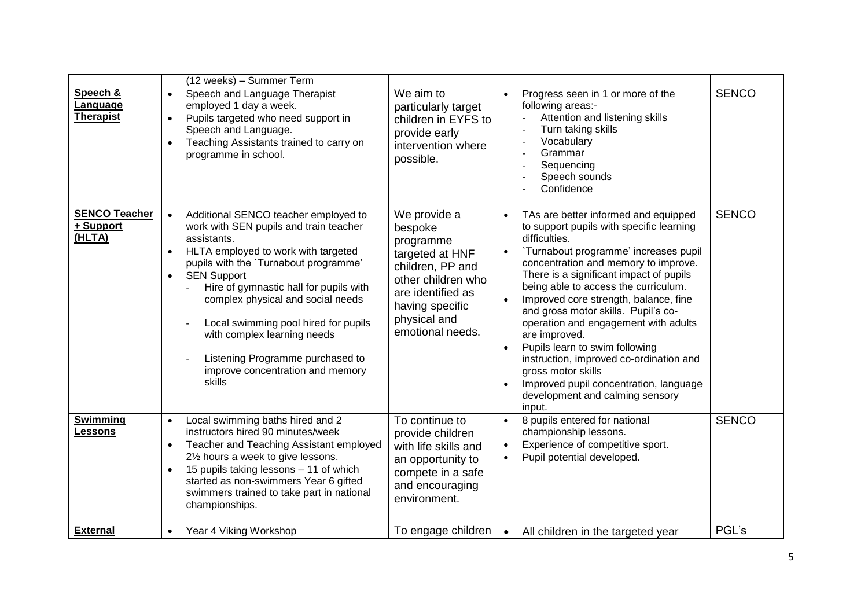|                                             |                                     | (12 weeks) - Summer Term                                                                                                                                                                                                                                                                                                                                                                                                                                                |                                                                                                                                                                               |                                                  |                                                                                                                                                                                                                                                                                                                                                                                                                                                                                                                                                                                                          |              |
|---------------------------------------------|-------------------------------------|-------------------------------------------------------------------------------------------------------------------------------------------------------------------------------------------------------------------------------------------------------------------------------------------------------------------------------------------------------------------------------------------------------------------------------------------------------------------------|-------------------------------------------------------------------------------------------------------------------------------------------------------------------------------|--------------------------------------------------|----------------------------------------------------------------------------------------------------------------------------------------------------------------------------------------------------------------------------------------------------------------------------------------------------------------------------------------------------------------------------------------------------------------------------------------------------------------------------------------------------------------------------------------------------------------------------------------------------------|--------------|
| Speech &<br>Language<br><b>Therapist</b>    | $\bullet$<br>$\bullet$<br>$\bullet$ | Speech and Language Therapist<br>employed 1 day a week.<br>Pupils targeted who need support in<br>Speech and Language.<br>Teaching Assistants trained to carry on<br>programme in school.                                                                                                                                                                                                                                                                               | We aim to<br>particularly target<br>children in EYFS to<br>provide early<br>intervention where<br>possible.                                                                   | $\bullet$                                        | Progress seen in 1 or more of the<br>following areas:-<br>Attention and listening skills<br>Turn taking skills<br>Vocabulary<br>Grammar<br>Sequencing<br>Speech sounds<br>Confidence                                                                                                                                                                                                                                                                                                                                                                                                                     | <b>SENCO</b> |
| <b>SENCO Teacher</b><br>+ Support<br>(HLTA) | $\bullet$<br>$\bullet$<br>$\bullet$ | Additional SENCO teacher employed to<br>work with SEN pupils and train teacher<br>assistants.<br>HLTA employed to work with targeted<br>pupils with the 'Turnabout programme'<br><b>SEN Support</b><br>Hire of gymnastic hall for pupils with<br>complex physical and social needs<br>Local swimming pool hired for pupils<br>$\overline{\phantom{a}}$<br>with complex learning needs<br>Listening Programme purchased to<br>improve concentration and memory<br>skills | We provide a<br>bespoke<br>programme<br>targeted at HNF<br>children, PP and<br>other children who<br>are identified as<br>having specific<br>physical and<br>emotional needs. | $\bullet$<br>$\bullet$<br>$\bullet$<br>$\bullet$ | TAs are better informed and equipped<br>to support pupils with specific learning<br>difficulties.<br>'Turnabout programme' increases pupil<br>concentration and memory to improve.<br>There is a significant impact of pupils<br>being able to access the curriculum.<br>Improved core strength, balance, fine<br>and gross motor skills. Pupil's co-<br>operation and engagement with adults<br>are improved.<br>Pupils learn to swim following<br>instruction, improved co-ordination and<br>gross motor skills<br>Improved pupil concentration, language<br>development and calming sensory<br>input. | <b>SENCO</b> |
| <b>Swimming</b><br>Lessons                  | $\bullet$<br>$\bullet$<br>$\bullet$ | Local swimming baths hired and 2<br>instructors hired 90 minutes/week<br>Teacher and Teaching Assistant employed<br>21/2 hours a week to give lessons.<br>15 pupils taking lessons - 11 of which<br>started as non-swimmers Year 6 gifted<br>swimmers trained to take part in national<br>championships.                                                                                                                                                                | To continue to<br>provide children<br>with life skills and<br>an opportunity to<br>compete in a safe<br>and encouraging<br>environment.                                       | $\bullet$<br>$\bullet$<br>$\bullet$              | 8 pupils entered for national<br>championship lessons.<br>Experience of competitive sport.<br>Pupil potential developed.                                                                                                                                                                                                                                                                                                                                                                                                                                                                                 | <b>SENCO</b> |
| <b>External</b>                             | $\bullet$                           | Year 4 Viking Workshop                                                                                                                                                                                                                                                                                                                                                                                                                                                  | To engage children                                                                                                                                                            | $\bullet$                                        | All children in the targeted year                                                                                                                                                                                                                                                                                                                                                                                                                                                                                                                                                                        | PGL's        |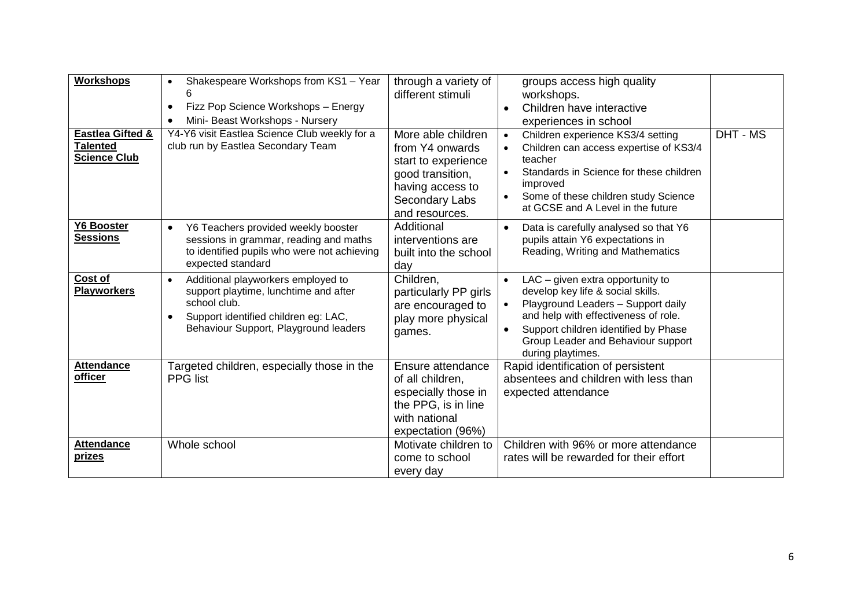| Workshops<br><b>Eastlea Gifted &amp;</b><br><b>Talented</b><br><b>Science Club</b> | Shakespeare Workshops from KS1 - Year<br>$\bullet$<br>6<br>Fizz Pop Science Workshops - Energy<br>$\bullet$<br>Mini- Beast Workshops - Nursery<br>$\bullet$<br>Y4-Y6 visit Eastlea Science Club weekly for a<br>club run by Eastlea Secondary Team | through a variety of<br>different stimuli<br>More able children<br>from Y4 onwards<br>start to experience<br>good transition,<br>having access to<br>Secondary Labs<br>and resources. | groups access high quality<br>workshops.<br>Children have interactive<br>$\bullet$<br>experiences in school<br>Children experience KS3/4 setting<br>$\bullet$<br>Children can access expertise of KS3/4<br>teacher<br>Standards in Science for these children<br>$\bullet$<br>improved<br>Some of these children study Science<br>at GCSE and A Level in the future | DHT - MS |
|------------------------------------------------------------------------------------|----------------------------------------------------------------------------------------------------------------------------------------------------------------------------------------------------------------------------------------------------|---------------------------------------------------------------------------------------------------------------------------------------------------------------------------------------|---------------------------------------------------------------------------------------------------------------------------------------------------------------------------------------------------------------------------------------------------------------------------------------------------------------------------------------------------------------------|----------|
| <b>Y6 Booster</b><br><b>Sessions</b>                                               | Y6 Teachers provided weekly booster<br>$\bullet$<br>sessions in grammar, reading and maths<br>to identified pupils who were not achieving<br>expected standard                                                                                     | Additional<br>interventions are<br>built into the school<br>day                                                                                                                       | Data is carefully analysed so that Y6<br>$\bullet$<br>pupils attain Y6 expectations in<br>Reading, Writing and Mathematics                                                                                                                                                                                                                                          |          |
| Cost of<br><b>Playworkers</b>                                                      | Additional playworkers employed to<br>$\bullet$<br>support playtime, lunchtime and after<br>school club.<br>Support identified children eg: LAC,<br>$\bullet$<br>Behaviour Support, Playground leaders                                             | Children,<br>particularly PP girls<br>are encouraged to<br>play more physical<br>games.                                                                                               | LAC - given extra opportunity to<br>$\bullet$<br>develop key life & social skills.<br>Playground Leaders - Support daily<br>and help with effectiveness of role.<br>Support children identified by Phase<br>$\bullet$<br>Group Leader and Behaviour support<br>during playtimes.                                                                                    |          |
| <b>Attendance</b><br>officer                                                       | Targeted children, especially those in the<br><b>PPG</b> list                                                                                                                                                                                      | Ensure attendance<br>of all children,<br>especially those in<br>the PPG, is in line<br>with national<br>expectation (96%)                                                             | Rapid identification of persistent<br>absentees and children with less than<br>expected attendance                                                                                                                                                                                                                                                                  |          |
| <b>Attendance</b><br><u>prizes</u>                                                 | Whole school                                                                                                                                                                                                                                       | Motivate children to<br>come to school<br>every day                                                                                                                                   | Children with 96% or more attendance<br>rates will be rewarded for their effort                                                                                                                                                                                                                                                                                     |          |